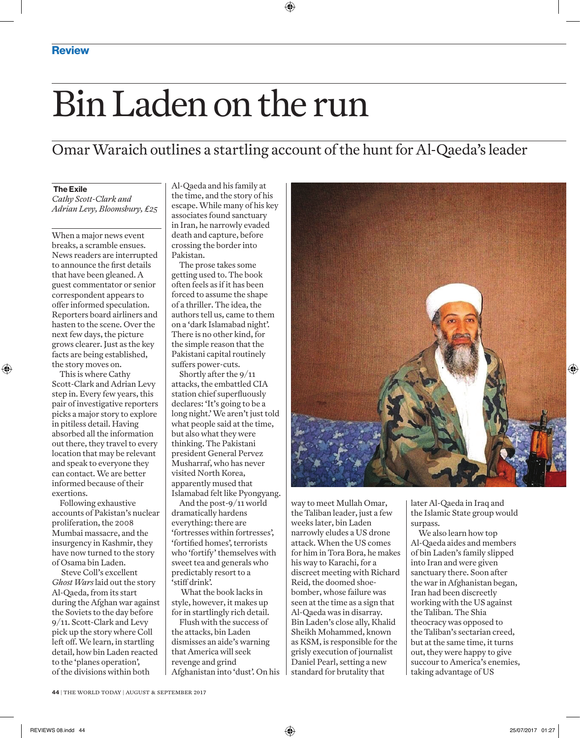## Bin Laden on the run

Omar Waraich outlines a startling account of the hunt for Al-Qaeda's leader

## The Exile

*Cathy Scott-Clark and Adrian Levy, Bloomsbury, £25*

When a major news event breaks, a scramble ensues. News readers are interrupted to announce the first details that have been gleaned. A guest commentator or senior correspondent appears to offer informed speculation. Reporters board airliners and hasten to the scene. Over the next few days, the picture grows clearer. Just as the key facts are being established, the story moves on.

This is where Cathy Scott-Clark and Adrian Levy step in. Every few years, this pair of investigative reporters picks a major story to explore in pitiless detail. Having absorbed all the information out there, they travel to every location that may be relevant and speak to everyone they can contact. We are better informed because of their exertions.

Following exhaustive accounts of Pakistan's nuclear proliferation, the 2008 Mumbai massacre, and the insurgency in Kashmir, they have now turned to the story of Osama bin Laden.

Steve Coll's excellent *Ghost Wars* laid out the story Al-Qaeda, from its start during the Afghan war against the Soviets to the day before 9/11. Scott-Clark and Levy pick up the story where Coll left off. We learn, in startling detail, how bin Laden reacted to the 'planes operation', of the divisions within both

Al-Qaeda and his family at the time, and the story of his escape. While many of his key associates found sanctuary in Iran, he narrowly evaded death and capture, before crossing the border into Pakistan.

The prose takes some getting used to. The book often feels as if it has been forced to assume the shape of a thriller. The idea, the authors tell us, came to them on a 'dark Islamabad night'. There is no other kind, for the simple reason that the Pakistani capital routinely suffers power-cuts.

Shortly after the 9/11 attacks, the embattled CIA station chief superfluously declares: 'It's going to be a long night.' We aren't just told what people said at the time, but also what they were thinking. The Pakistani president General Pervez Musharraf, who has never visited North Korea, apparently mused that Islamabad felt like Pyongyang.

And the post-9/11 world dramatically hardens everything: there are 'fortresses within fortresses', 'fortified homes', terrorists who 'fortify' themselves with sweet tea and generals who predictably resort to a 'stiff drink'.

What the book lacks in style, however, it makes up for in startlingly rich detail.

Flush with the success of the attacks, bin Laden dismisses an aide's warning that America will seek revenge and grind Afghanistan into 'dust'. On his



way to meet Mullah Omar, the Taliban leader, just a few weeks later, bin Laden narrowly eludes a US drone attack. When the US comes for him in Tora Bora, he makes his way to Karachi, for a discreet meeting with Richard Reid, the doomed shoebomber, whose failure was seen at the time as a sign that Al-Qaeda was in disarray. Bin Laden's close ally, Khalid Sheikh Mohammed, known as KSM, is responsible for the grisly execution of journalist Daniel Pearl, setting a new standard for brutality that

later Al-Qaeda in Iraq and the Islamic State group would surpass.

We also learn how top Al-Qaeda aides and members of bin Laden's family slipped into Iran and were given sanctuary there. Soon after the war in Afghanistan began, Iran had been discreetly working with the US against the Taliban. The Shia theocracy was opposed to the Taliban's sectarian creed, but at the same time, it turns out, they were happy to give succour to America's enemies, taking advantage of US